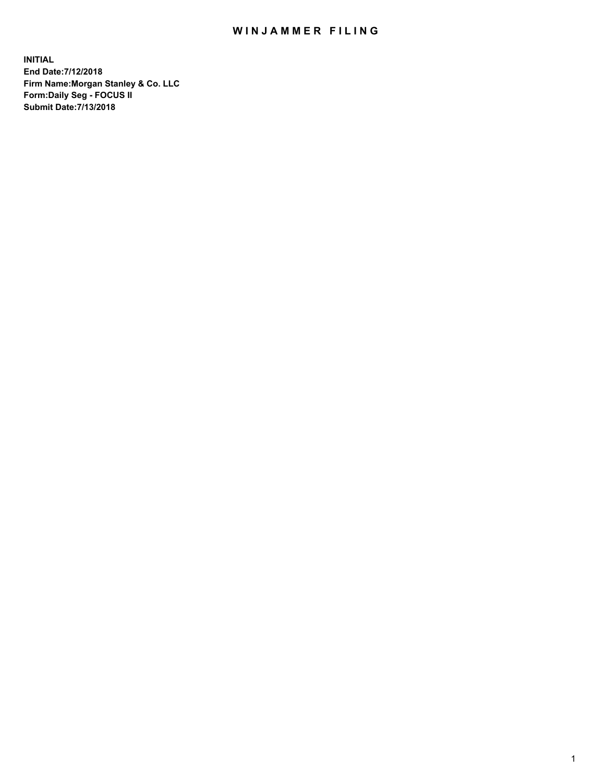## WIN JAMMER FILING

**INITIAL End Date:7/12/2018 Firm Name:Morgan Stanley & Co. LLC Form:Daily Seg - FOCUS II Submit Date:7/13/2018**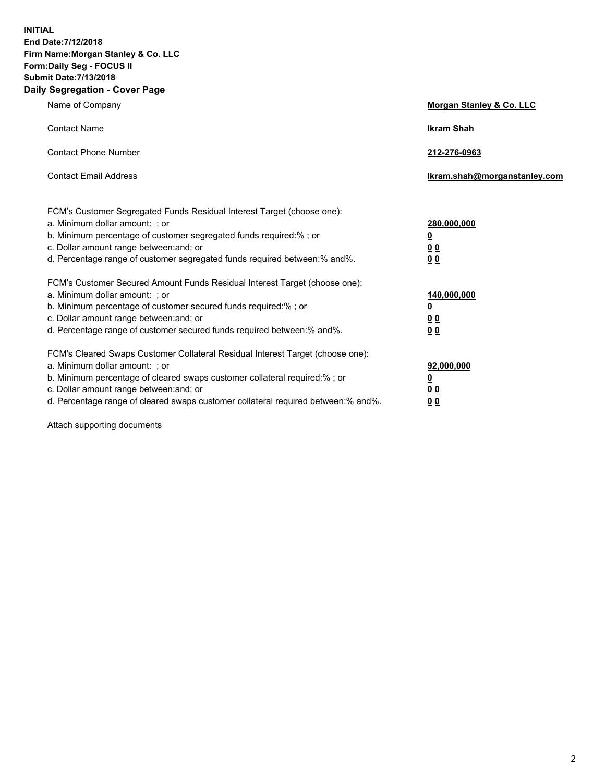**INITIAL End Date:7/12/2018 Firm Name:Morgan Stanley & Co. LLC Form:Daily Seg - FOCUS II Submit Date:7/13/2018 Daily Segregation - Cover Page**

| Name of Company                                                                                                        | Morgan Stanley & Co. LLC     |
|------------------------------------------------------------------------------------------------------------------------|------------------------------|
| <b>Contact Name</b>                                                                                                    | <b>Ikram Shah</b>            |
| <b>Contact Phone Number</b>                                                                                            | 212-276-0963                 |
| <b>Contact Email Address</b>                                                                                           | Ikram.shah@morganstanley.com |
| FCM's Customer Segregated Funds Residual Interest Target (choose one):                                                 |                              |
| a. Minimum dollar amount: ; or                                                                                         | 280,000,000                  |
| b. Minimum percentage of customer segregated funds required:% ; or                                                     | <u>0</u>                     |
| c. Dollar amount range between: and; or<br>d. Percentage range of customer segregated funds required between: % and %. | <u>0 0</u><br>0 Q            |
| FCM's Customer Secured Amount Funds Residual Interest Target (choose one):                                             |                              |
| a. Minimum dollar amount: ; or                                                                                         | 140,000,000                  |
| b. Minimum percentage of customer secured funds required:%; or                                                         | <u>0</u>                     |
| c. Dollar amount range between: and; or                                                                                | 0 <sub>0</sub>               |
| d. Percentage range of customer secured funds required between:% and%.                                                 | 0 <sub>0</sub>               |
| FCM's Cleared Swaps Customer Collateral Residual Interest Target (choose one):                                         |                              |
| a. Minimum dollar amount: ; or                                                                                         | 92,000,000                   |
| b. Minimum percentage of cleared swaps customer collateral required:% ; or                                             | <u>0</u>                     |
| c. Dollar amount range between: and; or                                                                                | 0 Q                          |
| d. Percentage range of cleared swaps customer collateral required between:% and%.                                      | 00                           |

Attach supporting documents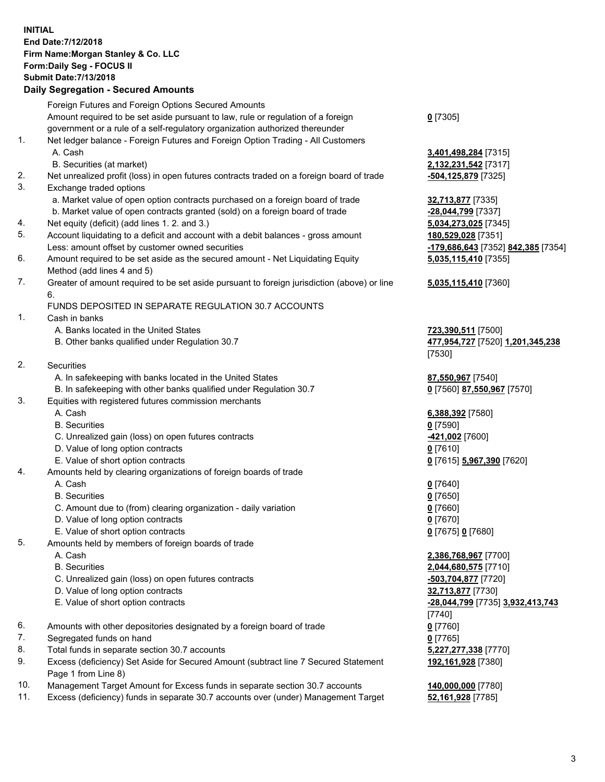## **INITIAL End Date:7/12/2018 Firm Name:Morgan Stanley & Co. LLC Form:Daily Seg - FOCUS II Submit Date:7/13/2018**

## **Daily Segregation - Secured Amounts**

|    | Foreign Futures and Foreign Options Secured Amounts                                         |                                |
|----|---------------------------------------------------------------------------------------------|--------------------------------|
|    | Amount required to be set aside pursuant to law, rule or regulation of a foreign            | $0$ [7305]                     |
| 1. | government or a rule of a self-regulatory organization authorized thereunder                |                                |
|    | Net ledger balance - Foreign Futures and Foreign Option Trading - All Customers<br>A. Cash  | 3,401,498,284 [7315]           |
|    | B. Securities (at market)                                                                   | 2,132,231,542 [7317]           |
| 2. | Net unrealized profit (loss) in open futures contracts traded on a foreign board of trade   | -504,125,879 [7325]            |
| 3. | Exchange traded options                                                                     |                                |
|    | a. Market value of open option contracts purchased on a foreign board of trade              | 32,713,877 [7335]              |
|    | b. Market value of open contracts granted (sold) on a foreign board of trade                | -28,044,799 [7337]             |
| 4. | Net equity (deficit) (add lines 1.2. and 3.)                                                | 5,034,273,025 [7345]           |
| 5. | Account liquidating to a deficit and account with a debit balances - gross amount           | 180,529,028 [7351]             |
|    | Less: amount offset by customer owned securities                                            | 179,686,643 [7352]             |
| 6. | Amount required to be set aside as the secured amount - Net Liquidating Equity              | 5,035,115,410 [7355]           |
|    | Method (add lines 4 and 5)                                                                  |                                |
| 7. | Greater of amount required to be set aside pursuant to foreign jurisdiction (above) or line | 5,035,115,410 [7360]           |
|    | 6.                                                                                          |                                |
|    | FUNDS DEPOSITED IN SEPARATE REGULATION 30.7 ACCOUNTS                                        |                                |
| 1. | Cash in banks                                                                               |                                |
|    | A. Banks located in the United States                                                       | 723,390,511 [7500]             |
|    | B. Other banks qualified under Regulation 30.7                                              | 477,954,727 [7520] 1           |
|    |                                                                                             | [7530]                         |
| 2. | Securities                                                                                  |                                |
|    | A. In safekeeping with banks located in the United States                                   | 87,550,967 [7540]              |
| 3. | B. In safekeeping with other banks qualified under Regulation 30.7                          | 0 [7560] 87,550,967            |
|    | Equities with registered futures commission merchants<br>A. Cash                            |                                |
|    | <b>B.</b> Securities                                                                        | 6,388,392 [7580]<br>$0$ [7590] |
|    | C. Unrealized gain (loss) on open futures contracts                                         | -421,002 <sup>[7600]</sup>     |
|    | D. Value of long option contracts                                                           | $0$ [7610]                     |
|    | E. Value of short option contracts                                                          | 0 [7615] 5,967,390 [7          |
| 4. | Amounts held by clearing organizations of foreign boards of trade                           |                                |
|    | A. Cash                                                                                     | $0$ [7640]                     |
|    | <b>B.</b> Securities                                                                        | $0$ [7650]                     |
|    | C. Amount due to (from) clearing organization - daily variation                             | $0$ [7660]                     |
|    | D. Value of long option contracts                                                           | $0$ [7670]                     |
|    | E. Value of short option contracts                                                          | 0 [7675] 0 [7680]              |
| 5. | Amounts held by members of foreign boards of trade                                          |                                |
|    | A. Cash                                                                                     | 2,386,768,967 [7700]           |
|    | <b>B.</b> Securities                                                                        | 2,044,680,575 [7710]           |
|    | C. Unrealized gain (loss) on open futures contracts                                         | $-503,704,877$ [7720]          |
|    | D. Value of long option contracts                                                           | 32,713,877 [7730]              |
|    | E. Value of short option contracts                                                          | -28,044,799 [7735] 3.          |
|    |                                                                                             | [7740]                         |
| 6. | Amounts with other depositories designated by a foreign board of trade                      | $0$ [7760]                     |
| 7. | Segregated funds on hand                                                                    | $0$ [7765]                     |
| 8. | Total funds in separate section 30.7 accounts                                               | 5,227,277,338 [7770]           |
| 9. | Excess (deficiency) Set Aside for Secured Amount (subtract line 7 Secured Statement         | 192,161,928 [7380]             |
|    | Page 1 from Line 8)                                                                         |                                |

- 10. Management Target Amount for Excess funds in separate section 30.7 accounts **140,000,000** [7780]
- 11. Excess (deficiency) funds in separate 30.7 accounts over (under) Management Target **52,161,928** [7785]

<mark>3</mark> [7352] <mark>842,385</mark> [7354] **5,035,115,410** [7355]

## **5,035,115,410** [7360]

B. Other banks qualified under Regulation 30.7 **477,954,727** [7520] **1,201,345,238**

**550,967** [7570]

E. Value of short option contracts **0** [7615] **5,967,390** [7620]

 E. Value of short option contracts **-28,044,799** [7735] **3,932,413,743 192,161,928** [7380]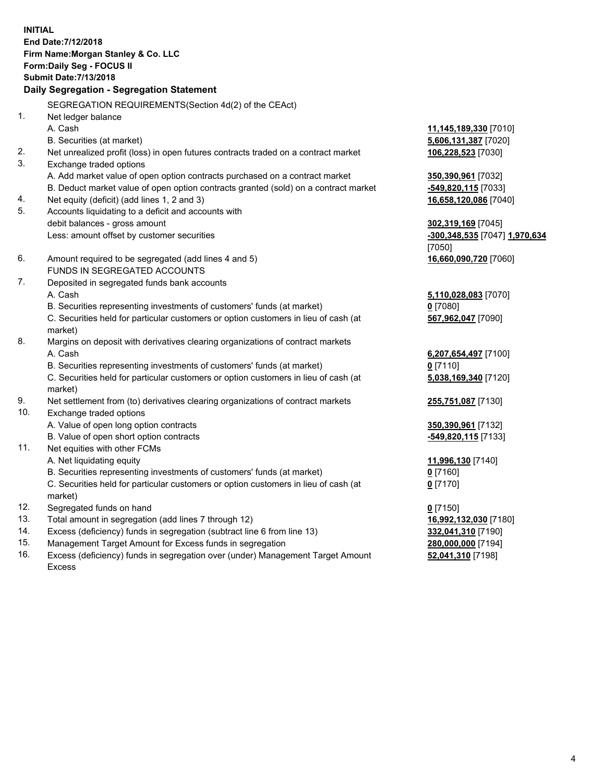**INITIAL End Date:7/12/2018 Firm Name:Morgan Stanley & Co. LLC Form:Daily Seg - FOCUS II Submit Date:7/13/2018 Daily Segregation - Segregation Statement** SEGREGATION REQUIREMENTS(Section 4d(2) of the CEAct) 1. Net ledger balance A. Cash **11,145,189,330** [7010] B. Securities (at market) **5,606,131,387** [7020] 2. Net unrealized profit (loss) in open futures contracts traded on a contract market **106,228,523** [7030] 3. Exchange traded options A. Add market value of open option contracts purchased on a contract market **350,390,961** [7032] B. Deduct market value of open option contracts granted (sold) on a contract market **-549,820,115** [7033] 4. Net equity (deficit) (add lines 1, 2 and 3) **16,658,120,086** [7040] 5. Accounts liquidating to a deficit and accounts with debit balances - gross amount **302,319,169** [7045] Less: amount offset by customer securities **-300,348,535** [7047] **1,970,634** [7050] 6. Amount required to be segregated (add lines 4 and 5) **16,660,090,720** [7060] FUNDS IN SEGREGATED ACCOUNTS 7. Deposited in segregated funds bank accounts A. Cash **5,110,028,083** [7070] B. Securities representing investments of customers' funds (at market) **0** [7080] C. Securities held for particular customers or option customers in lieu of cash (at market) **567,962,047** [7090] 8. Margins on deposit with derivatives clearing organizations of contract markets A. Cash **6,207,654,497** [7100] B. Securities representing investments of customers' funds (at market) **0** [7110] C. Securities held for particular customers or option customers in lieu of cash (at market) **5,038,169,340** [7120] 9. Net settlement from (to) derivatives clearing organizations of contract markets **255,751,087** [7130] 10. Exchange traded options A. Value of open long option contracts **350,390,961** [7132] B. Value of open short option contracts **and the set of our original state of the set of open** short option contracts 11. Net equities with other FCMs A. Net liquidating equity **11,996,130** [7140] B. Securities representing investments of customers' funds (at market) **0** [7160] C. Securities held for particular customers or option customers in lieu of cash (at market) **0** [7170] 12. Segregated funds on hand **0** [7150] 13. Total amount in segregation (add lines 7 through 12) **16,992,132,030** [7180] 14. Excess (deficiency) funds in segregation (subtract line 6 from line 13) **332,041,310** [7190] 15. Management Target Amount for Excess funds in segregation **280,000,000** [7194]

16. Excess (deficiency) funds in segregation over (under) Management Target Amount Excess

**52,041,310** [7198]